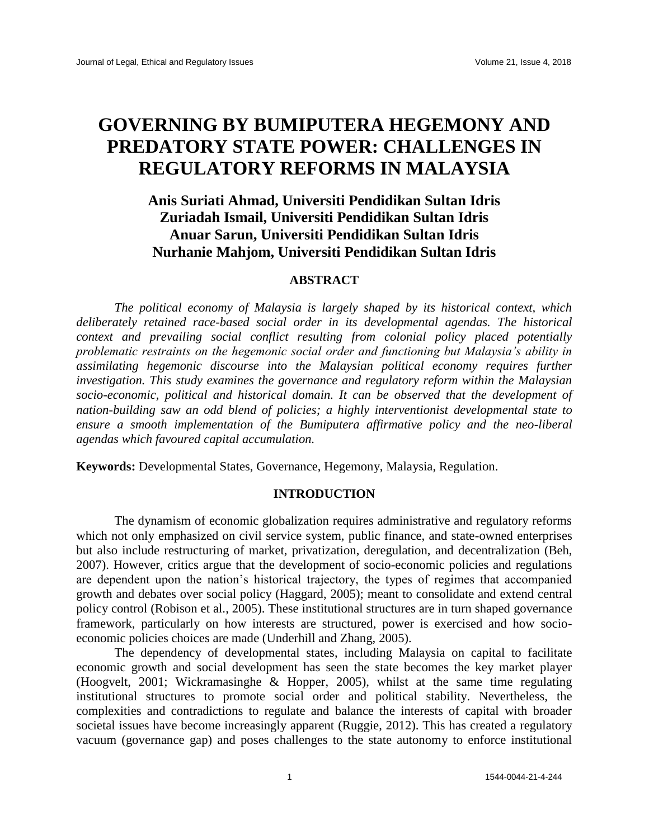# **GOVERNING BY BUMIPUTERA HEGEMONY AND PREDATORY STATE POWER: CHALLENGES IN REGULATORY REFORMS IN MALAYSIA**

# **Anis Suriati Ahmad, Universiti Pendidikan Sultan Idris Zuriadah Ismail, Universiti Pendidikan Sultan Idris Anuar Sarun, Universiti Pendidikan Sultan Idris Nurhanie Mahjom, Universiti Pendidikan Sultan Idris**

# **ABSTRACT**

*The political economy of Malaysia is largely shaped by its historical context, which deliberately retained race-based social order in its developmental agendas. The historical context and prevailing social conflict resulting from colonial policy placed potentially problematic restraints on the hegemonic social order and functioning but Malaysia's ability in assimilating hegemonic discourse into the Malaysian political economy requires further investigation. This study examines the governance and regulatory reform within the Malaysian socio-economic, political and historical domain. It can be observed that the development of nation-building saw an odd blend of policies; a highly interventionist developmental state to ensure a smooth implementation of the Bumiputera affirmative policy and the neo-liberal agendas which favoured capital accumulation.* 

**Keywords:** Developmental States, Governance, Hegemony, Malaysia, Regulation.

## **INTRODUCTION**

The dynamism of economic globalization requires administrative and regulatory reforms which not only emphasized on civil service system, public finance, and state-owned enterprises but also include restructuring of market, privatization, deregulation, and decentralization (Beh, 2007). However, critics argue that the development of socio-economic policies and regulations are dependent upon the nation's historical trajectory, the types of regimes that accompanied growth and debates over social policy (Haggard, 2005); meant to consolidate and extend central policy control (Robison et al., 2005). These institutional structures are in turn shaped governance framework, particularly on how interests are structured, power is exercised and how socioeconomic policies choices are made (Underhill and Zhang, 2005).

The dependency of developmental states, including Malaysia on capital to facilitate economic growth and social development has seen the state becomes the key market player (Hoogvelt, 2001; Wickramasinghe & Hopper, 2005), whilst at the same time regulating institutional structures to promote social order and political stability. Nevertheless, the complexities and contradictions to regulate and balance the interests of capital with broader societal issues have become increasingly apparent (Ruggie, 2012). This has created a regulatory vacuum (governance gap) and poses challenges to the state autonomy to enforce institutional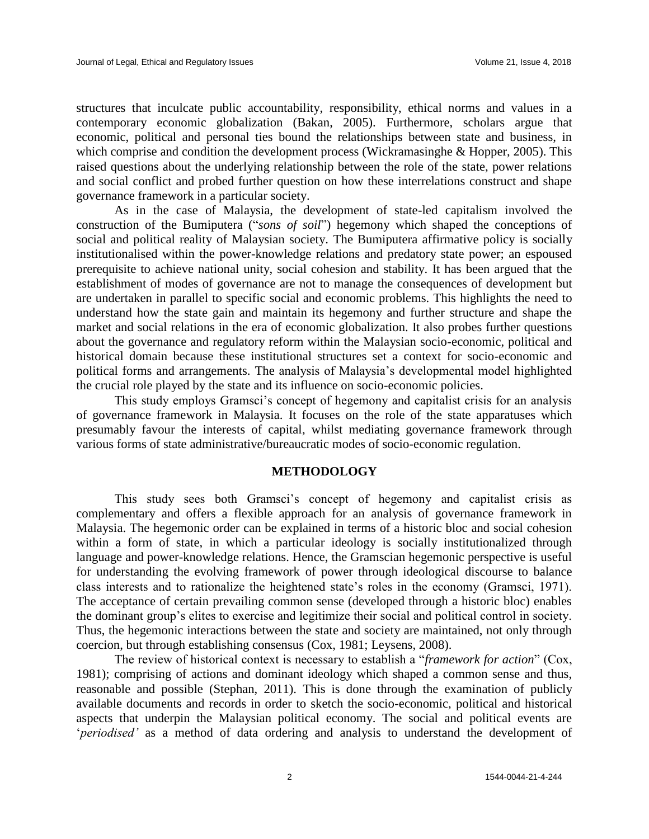structures that inculcate public accountability, responsibility, ethical norms and values in a contemporary economic globalization (Bakan, 2005). Furthermore, scholars argue that economic, political and personal ties bound the relationships between state and business, in which comprise and condition the development process (Wickramasinghe & Hopper, 2005). This raised questions about the underlying relationship between the role of the state, power relations and social conflict and probed further question on how these interrelations construct and shape governance framework in a particular society.

As in the case of Malaysia, the development of state-led capitalism involved the construction of the Bumiputera ("*sons of soil*") hegemony which shaped the conceptions of social and political reality of Malaysian society. The Bumiputera affirmative policy is socially institutionalised within the power-knowledge relations and predatory state power; an espoused prerequisite to achieve national unity, social cohesion and stability. It has been argued that the establishment of modes of governance are not to manage the consequences of development but are undertaken in parallel to specific social and economic problems. This highlights the need to understand how the state gain and maintain its hegemony and further structure and shape the market and social relations in the era of economic globalization. It also probes further questions about the governance and regulatory reform within the Malaysian socio-economic, political and historical domain because these institutional structures set a context for socio-economic and political forms and arrangements. The analysis of Malaysia's developmental model highlighted the crucial role played by the state and its influence on socio-economic policies.

This study employs Gramsci's concept of hegemony and capitalist crisis for an analysis of governance framework in Malaysia. It focuses on the role of the state apparatuses which presumably favour the interests of capital, whilst mediating governance framework through various forms of state administrative/bureaucratic modes of socio-economic regulation.

#### **METHODOLOGY**

This study sees both Gramsci's concept of hegemony and capitalist crisis as complementary and offers a flexible approach for an analysis of governance framework in Malaysia. The hegemonic order can be explained in terms of a historic bloc and social cohesion within a form of state, in which a particular ideology is socially institutionalized through language and power-knowledge relations. Hence, the Gramscian hegemonic perspective is useful for understanding the evolving framework of power through ideological discourse to balance class interests and to rationalize the heightened state's roles in the economy (Gramsci, 1971). The acceptance of certain prevailing common sense (developed through a historic bloc) enables the dominant group's elites to exercise and legitimize their social and political control in society. Thus, the hegemonic interactions between the state and society are maintained, not only through coercion, but through establishing consensus (Cox, 1981; Leysens, 2008).

The review of historical context is necessary to establish a "*framework for action*" (Cox, 1981); comprising of actions and dominant ideology which shaped a common sense and thus, reasonable and possible (Stephan, 2011). This is done through the examination of publicly available documents and records in order to sketch the socio-economic, political and historical aspects that underpin the Malaysian political economy. The social and political events are '*periodised'* as a method of data ordering and analysis to understand the development of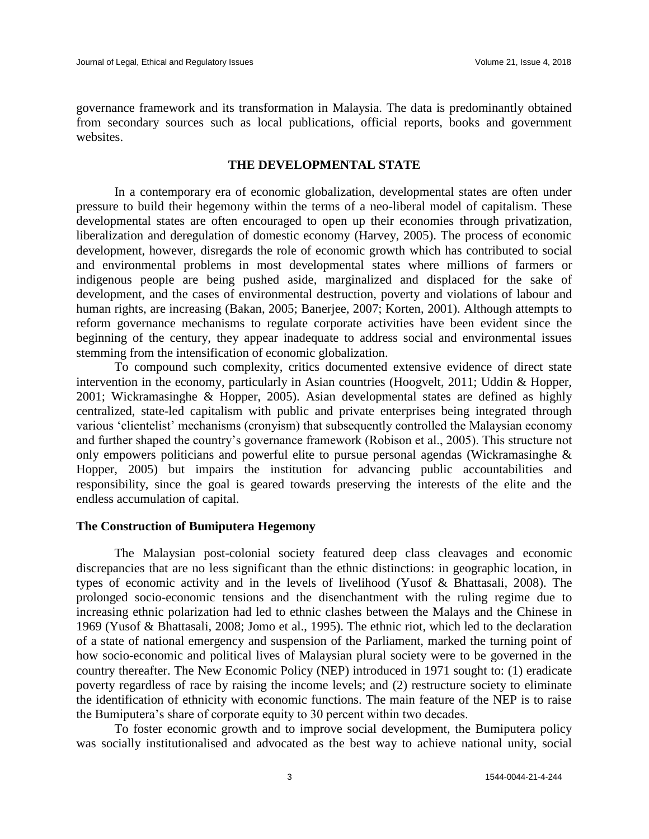governance framework and its transformation in Malaysia. The data is predominantly obtained from secondary sources such as local publications, official reports, books and government websites.

#### **THE DEVELOPMENTAL STATE**

In a contemporary era of economic globalization, developmental states are often under pressure to build their hegemony within the terms of a neo-liberal model of capitalism. These developmental states are often encouraged to open up their economies through privatization, liberalization and deregulation of domestic economy (Harvey, 2005). The process of economic development, however, disregards the role of economic growth which has contributed to social and environmental problems in most developmental states where millions of farmers or indigenous people are being pushed aside, marginalized and displaced for the sake of development, and the cases of environmental destruction, poverty and violations of labour and human rights, are increasing (Bakan, 2005; Banerjee, 2007; Korten, 2001). Although attempts to reform governance mechanisms to regulate corporate activities have been evident since the beginning of the century, they appear inadequate to address social and environmental issues stemming from the intensification of economic globalization.

To compound such complexity, critics documented extensive evidence of direct state intervention in the economy, particularly in Asian countries (Hoogvelt, 2011; Uddin & Hopper, 2001; Wickramasinghe & Hopper, 2005). Asian developmental states are defined as highly centralized, state-led capitalism with public and private enterprises being integrated through various 'clientelist' mechanisms (cronyism) that subsequently controlled the Malaysian economy and further shaped the country's governance framework (Robison et al., 2005). This structure not only empowers politicians and powerful elite to pursue personal agendas (Wickramasinghe & Hopper, 2005) but impairs the institution for advancing public accountabilities and responsibility, since the goal is geared towards preserving the interests of the elite and the endless accumulation of capital.

#### **The Construction of Bumiputera Hegemony**

The Malaysian post-colonial society featured deep class cleavages and economic discrepancies that are no less significant than the ethnic distinctions: in geographic location, in types of economic activity and in the levels of livelihood (Yusof & Bhattasali, 2008). The prolonged socio-economic tensions and the disenchantment with the ruling regime due to increasing ethnic polarization had led to ethnic clashes between the Malays and the Chinese in 1969 (Yusof & Bhattasali, 2008; Jomo et al., 1995). The ethnic riot, which led to the declaration of a state of national emergency and suspension of the Parliament, marked the turning point of how socio-economic and political lives of Malaysian plural society were to be governed in the country thereafter. The New Economic Policy (NEP) introduced in 1971 sought to: (1) eradicate poverty regardless of race by raising the income levels; and (2) restructure society to eliminate the identification of ethnicity with economic functions. The main feature of the NEP is to raise the Bumiputera's share of corporate equity to 30 percent within two decades.

To foster economic growth and to improve social development, the Bumiputera policy was socially institutionalised and advocated as the best way to achieve national unity, social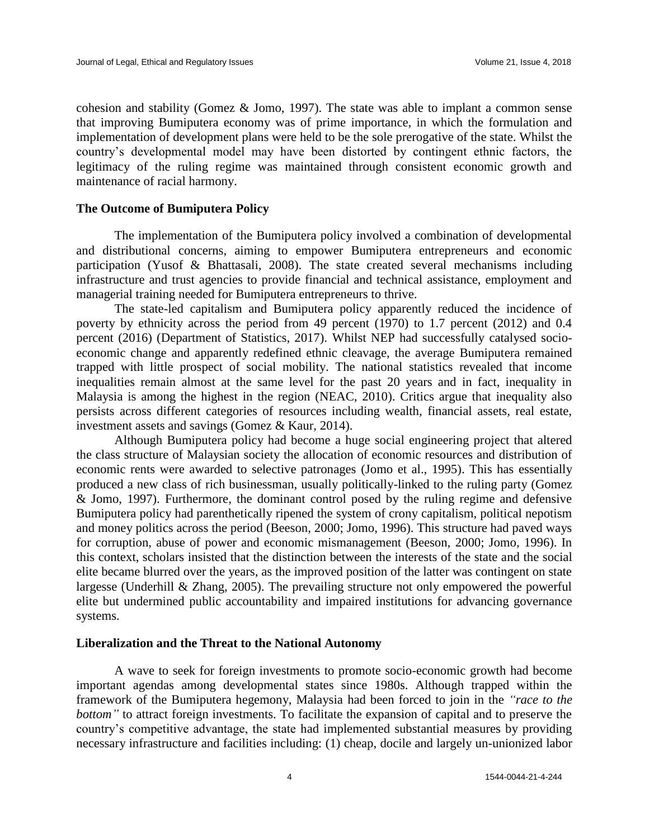cohesion and stability (Gomez  $\&$  Jomo, 1997). The state was able to implant a common sense that improving Bumiputera economy was of prime importance, in which the formulation and implementation of development plans were held to be the sole prerogative of the state. Whilst the country's developmental model may have been distorted by contingent ethnic factors, the legitimacy of the ruling regime was maintained through consistent economic growth and maintenance of racial harmony.

# **The Outcome of Bumiputera Policy**

The implementation of the Bumiputera policy involved a combination of developmental and distributional concerns, aiming to empower Bumiputera entrepreneurs and economic participation (Yusof & Bhattasali, 2008). The state created several mechanisms including infrastructure and trust agencies to provide financial and technical assistance, employment and managerial training needed for Bumiputera entrepreneurs to thrive.

The state-led capitalism and Bumiputera policy apparently reduced the incidence of poverty by ethnicity across the period from 49 percent (1970) to 1.7 percent (2012) and 0.4 percent (2016) (Department of Statistics, 2017). Whilst NEP had successfully catalysed socioeconomic change and apparently redefined ethnic cleavage, the average Bumiputera remained trapped with little prospect of social mobility. The national statistics revealed that income inequalities remain almost at the same level for the past 20 years and in fact, inequality in Malaysia is among the highest in the region (NEAC, 2010). Critics argue that inequality also persists across different categories of resources including wealth, financial assets, real estate, investment assets and savings (Gomez & Kaur, 2014).

Although Bumiputera policy had become a huge social engineering project that altered the class structure of Malaysian society the allocation of economic resources and distribution of economic rents were awarded to selective patronages (Jomo et al., 1995). This has essentially produced a new class of rich businessman, usually politically-linked to the ruling party (Gomez & Jomo, 1997). Furthermore, the dominant control posed by the ruling regime and defensive Bumiputera policy had parenthetically ripened the system of crony capitalism, political nepotism and money politics across the period (Beeson, 2000; Jomo, 1996). This structure had paved ways for corruption, abuse of power and economic mismanagement (Beeson, 2000; Jomo, 1996). In this context, scholars insisted that the distinction between the interests of the state and the social elite became blurred over the years, as the improved position of the latter was contingent on state largesse (Underhill & Zhang, 2005). The prevailing structure not only empowered the powerful elite but undermined public accountability and impaired institutions for advancing governance systems.

#### **Liberalization and the Threat to the National Autonomy**

A wave to seek for foreign investments to promote socio-economic growth had become important agendas among developmental states since 1980s. Although trapped within the framework of the Bumiputera hegemony, Malaysia had been forced to join in the *"race to the bottom*" to attract foreign investments. To facilitate the expansion of capital and to preserve the country's competitive advantage, the state had implemented substantial measures by providing necessary infrastructure and facilities including: (1) cheap, docile and largely un-unionized labor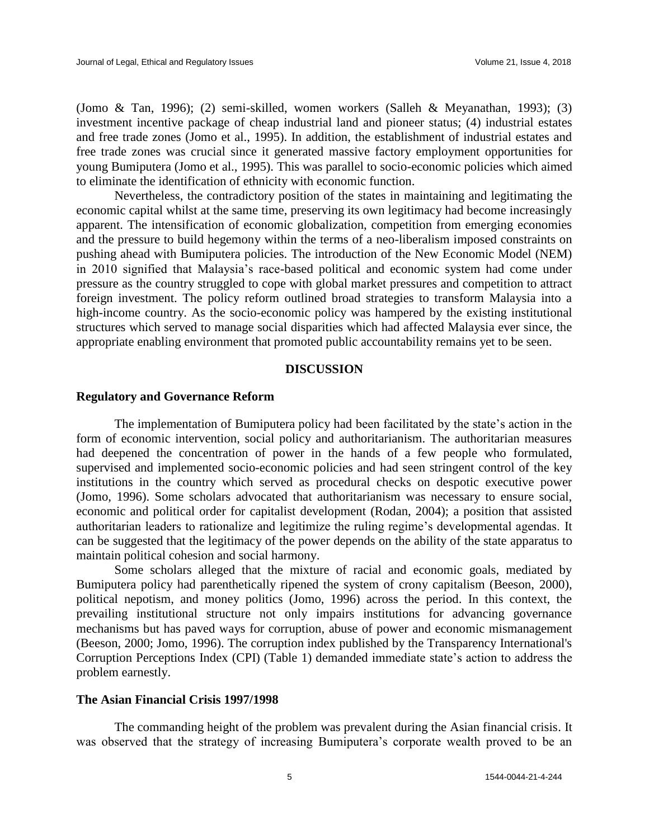(Jomo & Tan, 1996); (2) semi-skilled, women workers (Salleh & Meyanathan, 1993); (3) investment incentive package of cheap industrial land and pioneer status; (4) industrial estates and free trade zones (Jomo et al., 1995). In addition, the establishment of industrial estates and free trade zones was crucial since it generated massive factory employment opportunities for young Bumiputera (Jomo et al., 1995). This was parallel to socio-economic policies which aimed to eliminate the identification of ethnicity with economic function.

Nevertheless, the contradictory position of the states in maintaining and legitimating the economic capital whilst at the same time, preserving its own legitimacy had become increasingly apparent. The intensification of economic globalization, competition from emerging economies and the pressure to build hegemony within the terms of a neo-liberalism imposed constraints on pushing ahead with Bumiputera policies. The introduction of the New Economic Model (NEM) in 2010 signified that Malaysia's race-based political and economic system had come under pressure as the country struggled to cope with global market pressures and competition to attract foreign investment. The policy reform outlined broad strategies to transform Malaysia into a high-income country. As the socio-economic policy was hampered by the existing institutional structures which served to manage social disparities which had affected Malaysia ever since, the appropriate enabling environment that promoted public accountability remains yet to be seen.

#### **DISCUSSION**

#### **Regulatory and Governance Reform**

The implementation of Bumiputera policy had been facilitated by the state's action in the form of economic intervention, social policy and authoritarianism. The authoritarian measures had deepened the concentration of power in the hands of a few people who formulated, supervised and implemented socio-economic policies and had seen stringent control of the key institutions in the country which served as procedural checks on despotic executive power (Jomo, 1996). Some scholars advocated that authoritarianism was necessary to ensure social, economic and political order for capitalist development (Rodan, 2004); a position that assisted authoritarian leaders to rationalize and legitimize the ruling regime's developmental agendas. It can be suggested that the legitimacy of the power depends on the ability of the state apparatus to maintain political cohesion and social harmony.

Some scholars alleged that the mixture of racial and economic goals, mediated by Bumiputera policy had parenthetically ripened the system of crony capitalism (Beeson, 2000), political nepotism, and money politics (Jomo, 1996) across the period. In this context, the prevailing institutional structure not only impairs institutions for advancing governance mechanisms but has paved ways for corruption, abuse of power and economic mismanagement (Beeson, 2000; Jomo, 1996). The corruption index published by the Transparency International's Corruption Perceptions Index (CPI) (Table 1) demanded immediate state's action to address the problem earnestly.

#### **The Asian Financial Crisis 1997/1998**

The commanding height of the problem was prevalent during the Asian financial crisis. It was observed that the strategy of increasing Bumiputera's corporate wealth proved to be an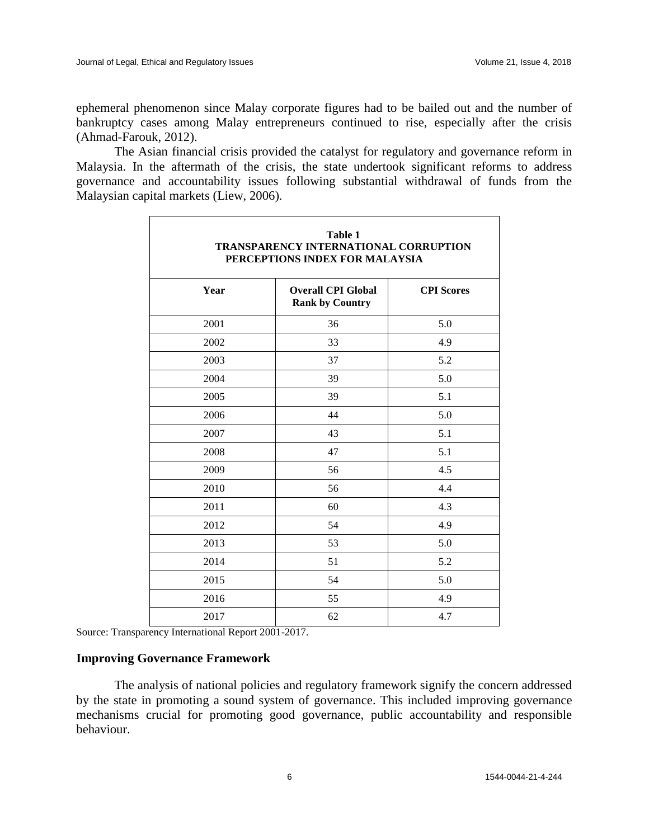ephemeral phenomenon since Malay corporate figures had to be bailed out and the number of bankruptcy cases among Malay entrepreneurs continued to rise, especially after the crisis (Ahmad-Farouk, 2012).

The Asian financial crisis provided the catalyst for regulatory and governance reform in Malaysia. In the aftermath of the crisis, the state undertook significant reforms to address governance and accountability issues following substantial withdrawal of funds from the Malaysian capital markets (Liew, 2006).

| <b>Table 1</b><br><b>TRANSPARENCY INTERNATIONAL CORRUPTION</b><br>PERCEPTIONS INDEX FOR MALAYSIA |                                                     |                   |
|--------------------------------------------------------------------------------------------------|-----------------------------------------------------|-------------------|
| Year                                                                                             | <b>Overall CPI Global</b><br><b>Rank by Country</b> | <b>CPI</b> Scores |
| 2001                                                                                             | 36                                                  | 5.0               |
| 2002                                                                                             | 33                                                  | 4.9               |
| 2003                                                                                             | 37                                                  | 5.2               |
| 2004                                                                                             | 39                                                  | 5.0               |
| 2005                                                                                             | 39                                                  | 5.1               |
| 2006                                                                                             | 44                                                  | 5.0               |
| 2007                                                                                             | 43                                                  | 5.1               |
| 2008                                                                                             | 47                                                  | 5.1               |
| 2009                                                                                             | 56                                                  | 4.5               |
| 2010                                                                                             | 56                                                  | 4.4               |
| 2011                                                                                             | 60                                                  | 4.3               |
| 2012                                                                                             | 54                                                  | 4.9               |
| 2013                                                                                             | 53                                                  | 5.0               |
| 2014                                                                                             | 51                                                  | 5.2               |
| 2015                                                                                             | 54                                                  | 5.0               |
| 2016                                                                                             | 55                                                  | 4.9               |
| 2017                                                                                             | 62                                                  | 4.7               |

Source: Transparency International Report 2001-2017.

# **Improving Governance Framework**

The analysis of national policies and regulatory framework signify the concern addressed by the state in promoting a sound system of governance. This included improving governance mechanisms crucial for promoting good governance, public accountability and responsible behaviour.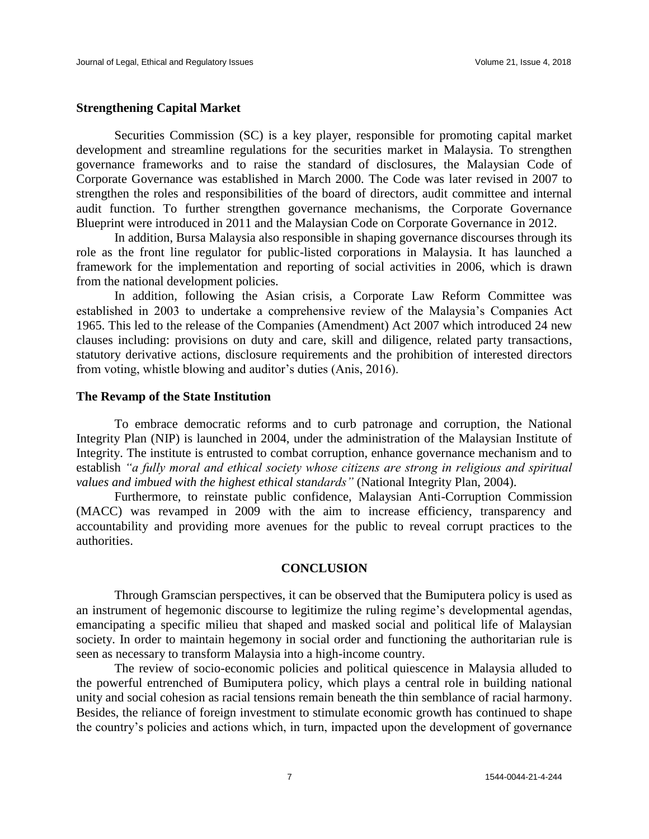## **Strengthening Capital Market**

Securities Commission (SC) is a key player, responsible for promoting capital market development and streamline regulations for the securities market in Malaysia. To strengthen governance frameworks and to raise the standard of disclosures, the Malaysian Code of Corporate Governance was established in March 2000. The Code was later revised in 2007 to strengthen the roles and responsibilities of the board of directors, audit committee and internal audit function. To further strengthen governance mechanisms, the Corporate Governance Blueprint were introduced in 2011 and the Malaysian Code on Corporate Governance in 2012.

In addition, Bursa Malaysia also responsible in shaping governance discourses through its role as the front line regulator for public-listed corporations in Malaysia. It has launched a framework for the implementation and reporting of social activities in 2006, which is drawn from the national development policies.

In addition, following the Asian crisis, a Corporate Law Reform Committee was established in 2003 to undertake a comprehensive review of the Malaysia's Companies Act 1965. This led to the release of the Companies (Amendment) Act 2007 which introduced 24 new clauses including: provisions on duty and care, skill and diligence, related party transactions, statutory derivative actions, disclosure requirements and the prohibition of interested directors from voting, whistle blowing and auditor's duties (Anis, 2016).

#### **The Revamp of the State Institution**

To embrace democratic reforms and to curb patronage and corruption, the National Integrity Plan (NIP) is launched in 2004, under the administration of the Malaysian Institute of Integrity. The institute is entrusted to combat corruption, enhance governance mechanism and to establish *"a fully moral and ethical society whose citizens are strong in religious and spiritual values and imbued with the highest ethical standards"* (National Integrity Plan, 2004).

Furthermore, to reinstate public confidence, Malaysian Anti-Corruption Commission (MACC) was revamped in 2009 with the aim to increase efficiency, transparency and accountability and providing more avenues for the public to reveal corrupt practices to the authorities.

# **CONCLUSION**

Through Gramscian perspectives, it can be observed that the Bumiputera policy is used as an instrument of hegemonic discourse to legitimize the ruling regime's developmental agendas, emancipating a specific milieu that shaped and masked social and political life of Malaysian society. In order to maintain hegemony in social order and functioning the authoritarian rule is seen as necessary to transform Malaysia into a high-income country.

The review of socio-economic policies and political quiescence in Malaysia alluded to the powerful entrenched of Bumiputera policy, which plays a central role in building national unity and social cohesion as racial tensions remain beneath the thin semblance of racial harmony. Besides, the reliance of foreign investment to stimulate economic growth has continued to shape the country's policies and actions which, in turn, impacted upon the development of governance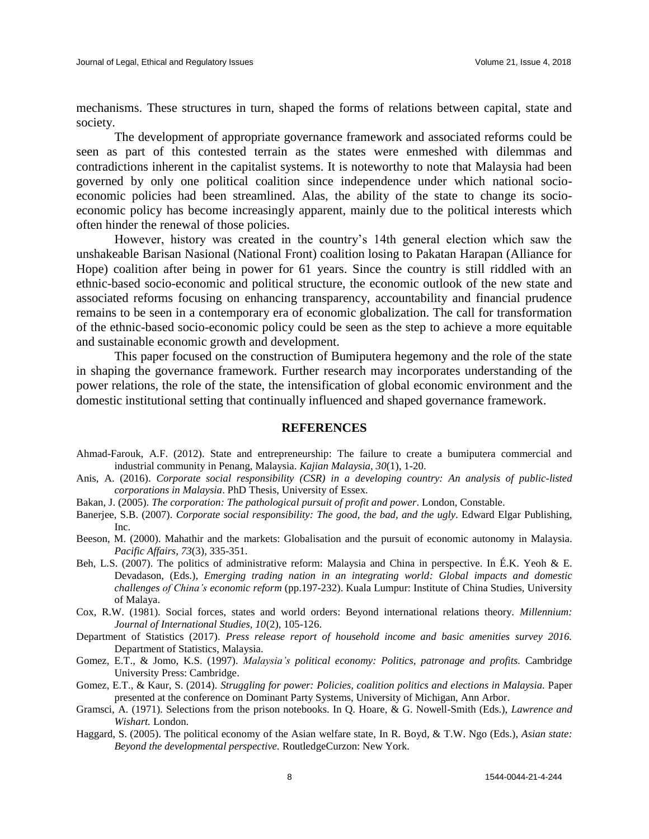mechanisms. These structures in turn, shaped the forms of relations between capital, state and society.

The development of appropriate governance framework and associated reforms could be seen as part of this contested terrain as the states were enmeshed with dilemmas and contradictions inherent in the capitalist systems. It is noteworthy to note that Malaysia had been governed by only one political coalition since independence under which national socioeconomic policies had been streamlined. Alas, the ability of the state to change its socioeconomic policy has become increasingly apparent, mainly due to the political interests which often hinder the renewal of those policies.

However, history was created in the country's 14th general election which saw the unshakeable Barisan Nasional (National Front) coalition losing to Pakatan Harapan (Alliance for Hope) coalition after being in power for 61 years. Since the country is still riddled with an ethnic-based socio-economic and political structure, the economic outlook of the new state and associated reforms focusing on enhancing transparency, accountability and financial prudence remains to be seen in a contemporary era of economic globalization. The call for transformation of the ethnic-based socio-economic policy could be seen as the step to achieve a more equitable and sustainable economic growth and development.

This paper focused on the construction of Bumiputera hegemony and the role of the state in shaping the governance framework. Further research may incorporates understanding of the power relations, the role of the state, the intensification of global economic environment and the domestic institutional setting that continually influenced and shaped governance framework.

#### **REFERENCES**

- Ahmad-Farouk, A.F. (2012). State and entrepreneurship: The failure to create a bumiputera commercial and industrial community in Penang, Malaysia. *Kajian Malaysia, 30*(1), 1-20.
- Anis, A. (2016). *Corporate social responsibility (CSR) in a developing country: An analysis of public-listed corporations in Malaysia*. PhD Thesis, University of Essex.
- Bakan, J. (2005). *The corporation: The pathological pursuit of profit and power*. London, Constable.
- Banerjee, S.B. (2007). *Corporate social responsibility: The good, the bad, and the ugly.* Edward Elgar Publishing, Inc.
- Beeson, M. (2000). Mahathir and the markets: Globalisation and the pursuit of economic autonomy in Malaysia. *Pacific Affairs, 73*(3), 335-351.
- Beh, L.S. (2007). The politics of administrative reform: Malaysia and China in perspective. In É.K. Yeoh & E. Devadason, (Eds.), *Emerging trading nation in an integrating world: Global impacts and domestic challenges of China's economic reform* (pp.197-232). Kuala Lumpur: Institute of China Studies, University of Malaya.
- Cox, R.W. (1981). Social forces, states and world orders: Beyond international relations theory. *Millennium: Journal of International Studies, 10*(2), 105-126.
- Department of Statistics (2017). *Press release report of household income and basic amenities survey 2016.* Department of Statistics, Malaysia.
- Gomez, E.T., & Jomo, K.S. (1997). *Malaysia's political economy: Politics, patronage and profits.* Cambridge University Press: Cambridge.
- Gomez, E.T., & Kaur, S. (2014). *Struggling for power: Policies, coalition politics and elections in Malaysia.* Paper presented at the conference on Dominant Party Systems, University of Michigan, Ann Arbor.
- Gramsci, A. (1971). Selections from the prison notebooks. In Q. Hoare, & G. Nowell-Smith (Eds.), *Lawrence and Wishart.* London.
- Haggard, S. (2005). The political economy of the Asian welfare state, In R. Boyd, & T.W. Ngo (Eds.), *Asian state: Beyond the developmental perspective.* RoutledgeCurzon: New York.